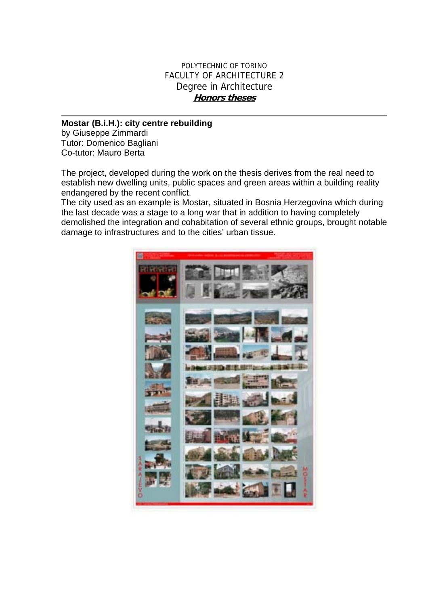## POLYTECHNIC OF TORINO FACULTY OF ARCHITECTURE 2 Degree in Architecture **Honors theses**

## **Mostar (B.i.H.): city centre rebuilding**  by Giuseppe Zimmardi Tutor: Domenico Bagliani

Co-tutor: Mauro Berta

The project, developed during the work on the thesis derives from the real need to establish new dwelling units, public spaces and green areas within a building reality endangered by the recent conflict.

The city used as an example is Mostar, situated in Bosnia Herzegovina which during the last decade was a stage to a long war that in addition to having completely demolished the integration and cohabitation of several ethnic groups, brought notable damage to infrastructures and to the cities' urban tissue.

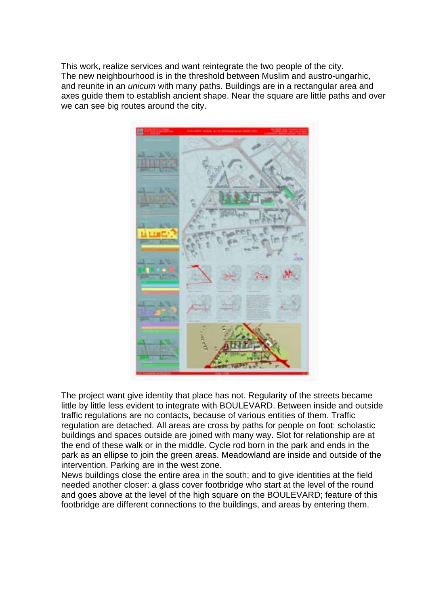This work, realize services and want reintegrate the two people of the city. The new neighbourhood is in the threshold between Muslim and austro-ungarhic, and reunite in an *unicum* with many paths. Buildings are in a rectangular area and axes guide them to establish ancient shape. Near the square are little paths and over we can see big routes around the city.



The project want give identity that place has not. Regularity of the streets became little by little less evident to integrate with BOULEVARD. Between inside and outside traffic regulations are no contacts, because of various entities of them. Traffic regulation are detached. All areas are cross by paths for people on foot: scholastic buildings and spaces outside are joined with many way. Slot for relationship are at the end of these walk or in the middle. Cycle rod born in the park and ends in the park as an ellipse to join the green areas. Meadowland are inside and outside of the intervention. Parking are in the west zone.

News buildings close the entire area in the south; and to give identities at the field needed another closer: a glass cover footbridge who start at the level of the round and goes above at the level of the high square on the BOULEVARD; feature of this footbridge are different connections to the buildings, and areas by entering them.